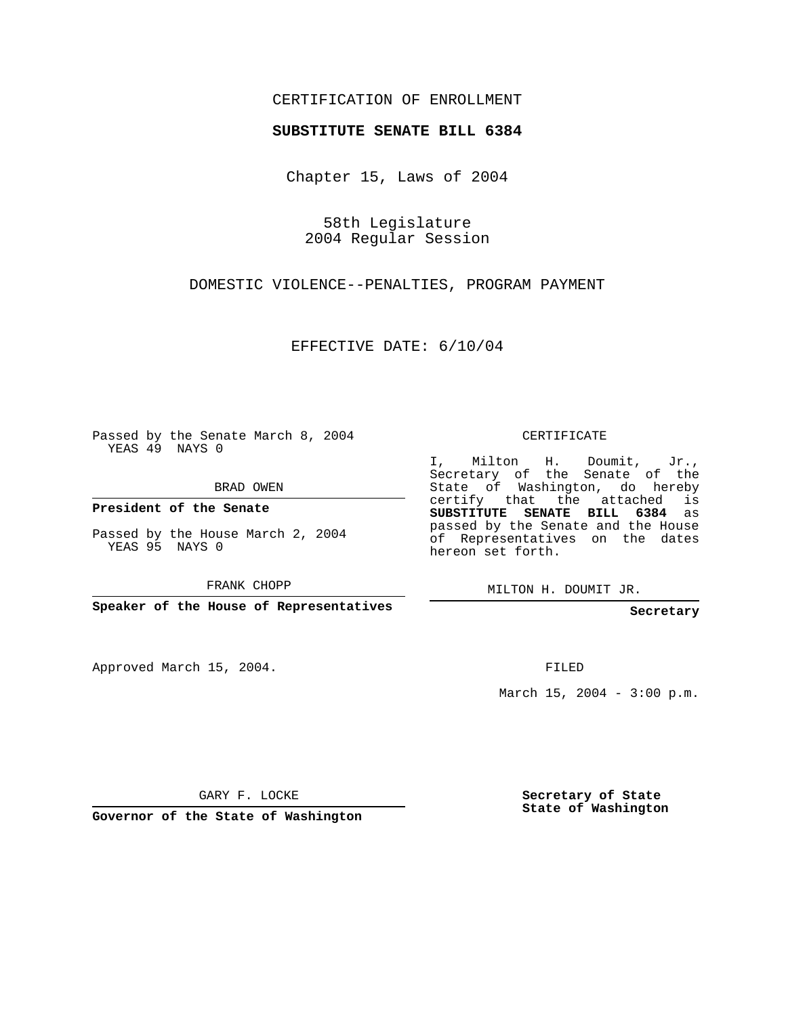## CERTIFICATION OF ENROLLMENT

#### **SUBSTITUTE SENATE BILL 6384**

Chapter 15, Laws of 2004

58th Legislature 2004 Regular Session

DOMESTIC VIOLENCE--PENALTIES, PROGRAM PAYMENT

EFFECTIVE DATE: 6/10/04

Passed by the Senate March 8, 2004 YEAS 49 NAYS 0

BRAD OWEN

**President of the Senate**

Passed by the House March 2, 2004 YEAS 95 NAYS 0

FRANK CHOPP

**Speaker of the House of Representatives**

Approved March 15, 2004.

CERTIFICATE

I, Milton H. Doumit, Jr., Secretary of the Senate of the State of Washington, do hereby certify that the attached is **SUBSTITUTE SENATE BILL 6384** as passed by the Senate and the House of Representatives on the dates hereon set forth.

MILTON H. DOUMIT JR.

**Secretary**

FILED

March 15, 2004 -  $3:00$  p.m.

GARY F. LOCKE

**Governor of the State of Washington**

**Secretary of State State of Washington**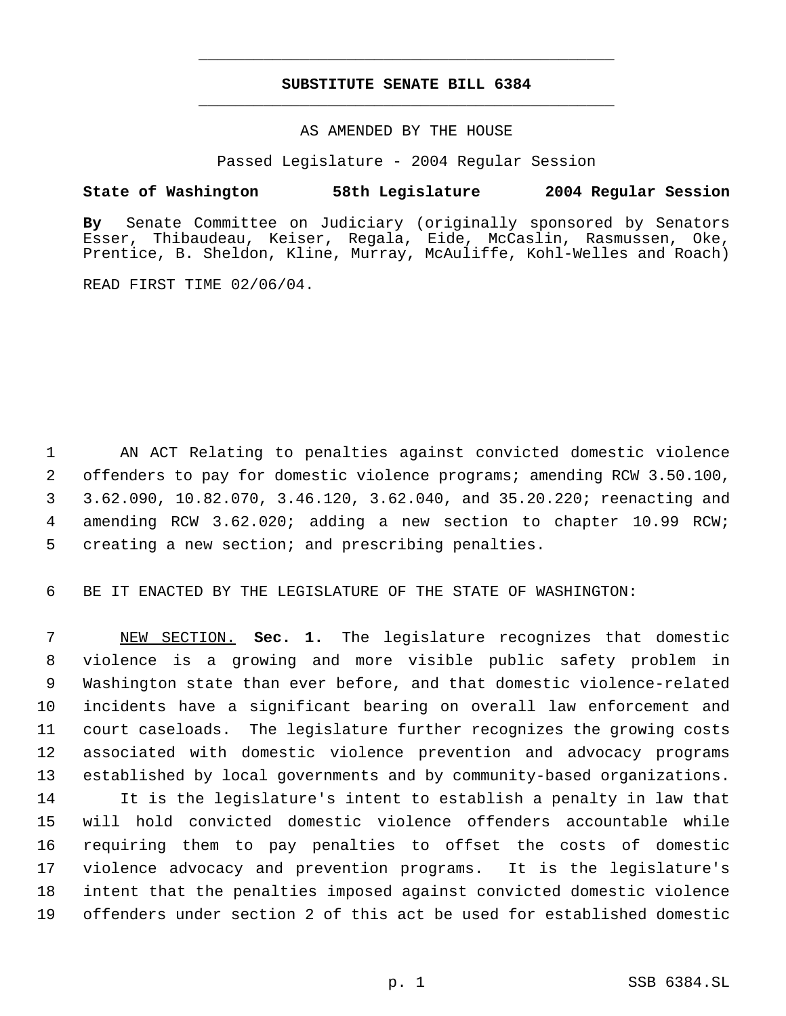# **SUBSTITUTE SENATE BILL 6384** \_\_\_\_\_\_\_\_\_\_\_\_\_\_\_\_\_\_\_\_\_\_\_\_\_\_\_\_\_\_\_\_\_\_\_\_\_\_\_\_\_\_\_\_\_

\_\_\_\_\_\_\_\_\_\_\_\_\_\_\_\_\_\_\_\_\_\_\_\_\_\_\_\_\_\_\_\_\_\_\_\_\_\_\_\_\_\_\_\_\_

### AS AMENDED BY THE HOUSE

Passed Legislature - 2004 Regular Session

### **State of Washington 58th Legislature 2004 Regular Session**

**By** Senate Committee on Judiciary (originally sponsored by Senators Esser, Thibaudeau, Keiser, Regala, Eide, McCaslin, Rasmussen, Oke, Prentice, B. Sheldon, Kline, Murray, McAuliffe, Kohl-Welles and Roach)

READ FIRST TIME 02/06/04.

 AN ACT Relating to penalties against convicted domestic violence offenders to pay for domestic violence programs; amending RCW 3.50.100, 3.62.090, 10.82.070, 3.46.120, 3.62.040, and 35.20.220; reenacting and amending RCW 3.62.020; adding a new section to chapter 10.99 RCW; creating a new section; and prescribing penalties.

BE IT ENACTED BY THE LEGISLATURE OF THE STATE OF WASHINGTON:

 NEW SECTION. **Sec. 1.** The legislature recognizes that domestic violence is a growing and more visible public safety problem in Washington state than ever before, and that domestic violence-related incidents have a significant bearing on overall law enforcement and court caseloads. The legislature further recognizes the growing costs associated with domestic violence prevention and advocacy programs established by local governments and by community-based organizations. It is the legislature's intent to establish a penalty in law that will hold convicted domestic violence offenders accountable while requiring them to pay penalties to offset the costs of domestic violence advocacy and prevention programs. It is the legislature's intent that the penalties imposed against convicted domestic violence

offenders under section 2 of this act be used for established domestic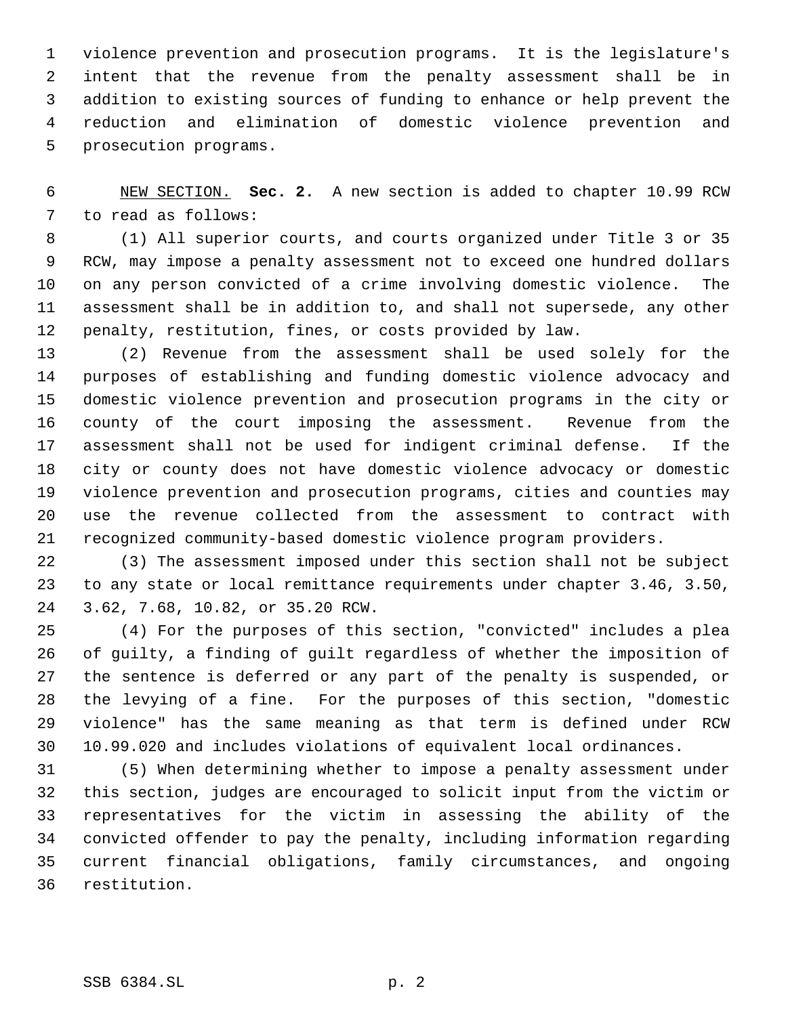violence prevention and prosecution programs. It is the legislature's intent that the revenue from the penalty assessment shall be in addition to existing sources of funding to enhance or help prevent the reduction and elimination of domestic violence prevention and prosecution programs.

 NEW SECTION. **Sec. 2.** A new section is added to chapter 10.99 RCW to read as follows:

 (1) All superior courts, and courts organized under Title 3 or 35 RCW, may impose a penalty assessment not to exceed one hundred dollars on any person convicted of a crime involving domestic violence. The assessment shall be in addition to, and shall not supersede, any other penalty, restitution, fines, or costs provided by law.

 (2) Revenue from the assessment shall be used solely for the purposes of establishing and funding domestic violence advocacy and domestic violence prevention and prosecution programs in the city or county of the court imposing the assessment. Revenue from the assessment shall not be used for indigent criminal defense. If the city or county does not have domestic violence advocacy or domestic violence prevention and prosecution programs, cities and counties may use the revenue collected from the assessment to contract with recognized community-based domestic violence program providers.

 (3) The assessment imposed under this section shall not be subject to any state or local remittance requirements under chapter 3.46, 3.50, 3.62, 7.68, 10.82, or 35.20 RCW.

 (4) For the purposes of this section, "convicted" includes a plea of guilty, a finding of guilt regardless of whether the imposition of the sentence is deferred or any part of the penalty is suspended, or the levying of a fine. For the purposes of this section, "domestic violence" has the same meaning as that term is defined under RCW 10.99.020 and includes violations of equivalent local ordinances.

 (5) When determining whether to impose a penalty assessment under this section, judges are encouraged to solicit input from the victim or representatives for the victim in assessing the ability of the convicted offender to pay the penalty, including information regarding current financial obligations, family circumstances, and ongoing restitution.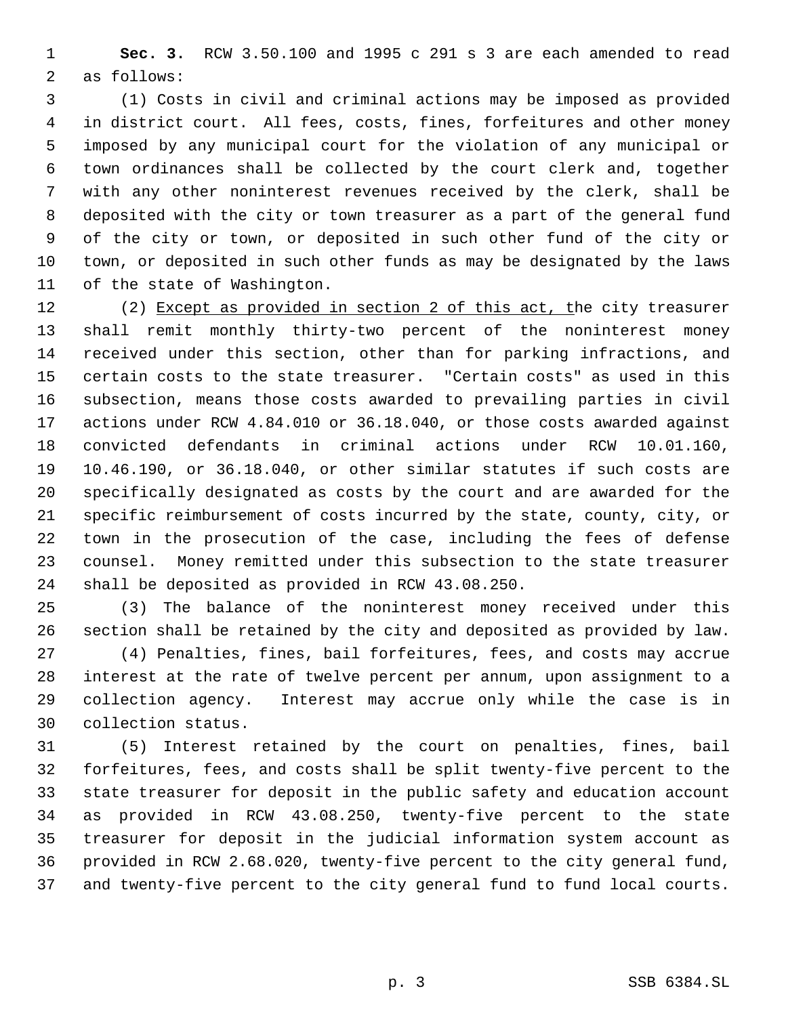**Sec. 3.** RCW 3.50.100 and 1995 c 291 s 3 are each amended to read as follows:

 (1) Costs in civil and criminal actions may be imposed as provided in district court. All fees, costs, fines, forfeitures and other money imposed by any municipal court for the violation of any municipal or town ordinances shall be collected by the court clerk and, together with any other noninterest revenues received by the clerk, shall be deposited with the city or town treasurer as a part of the general fund of the city or town, or deposited in such other fund of the city or town, or deposited in such other funds as may be designated by the laws of the state of Washington.

12 (2) Except as provided in section 2 of this act, the city treasurer shall remit monthly thirty-two percent of the noninterest money received under this section, other than for parking infractions, and certain costs to the state treasurer. "Certain costs" as used in this subsection, means those costs awarded to prevailing parties in civil actions under RCW 4.84.010 or 36.18.040, or those costs awarded against convicted defendants in criminal actions under RCW 10.01.160, 10.46.190, or 36.18.040, or other similar statutes if such costs are specifically designated as costs by the court and are awarded for the specific reimbursement of costs incurred by the state, county, city, or town in the prosecution of the case, including the fees of defense counsel. Money remitted under this subsection to the state treasurer shall be deposited as provided in RCW 43.08.250.

 (3) The balance of the noninterest money received under this section shall be retained by the city and deposited as provided by law. (4) Penalties, fines, bail forfeitures, fees, and costs may accrue interest at the rate of twelve percent per annum, upon assignment to a collection agency. Interest may accrue only while the case is in collection status.

 (5) Interest retained by the court on penalties, fines, bail forfeitures, fees, and costs shall be split twenty-five percent to the state treasurer for deposit in the public safety and education account as provided in RCW 43.08.250, twenty-five percent to the state treasurer for deposit in the judicial information system account as provided in RCW 2.68.020, twenty-five percent to the city general fund, and twenty-five percent to the city general fund to fund local courts.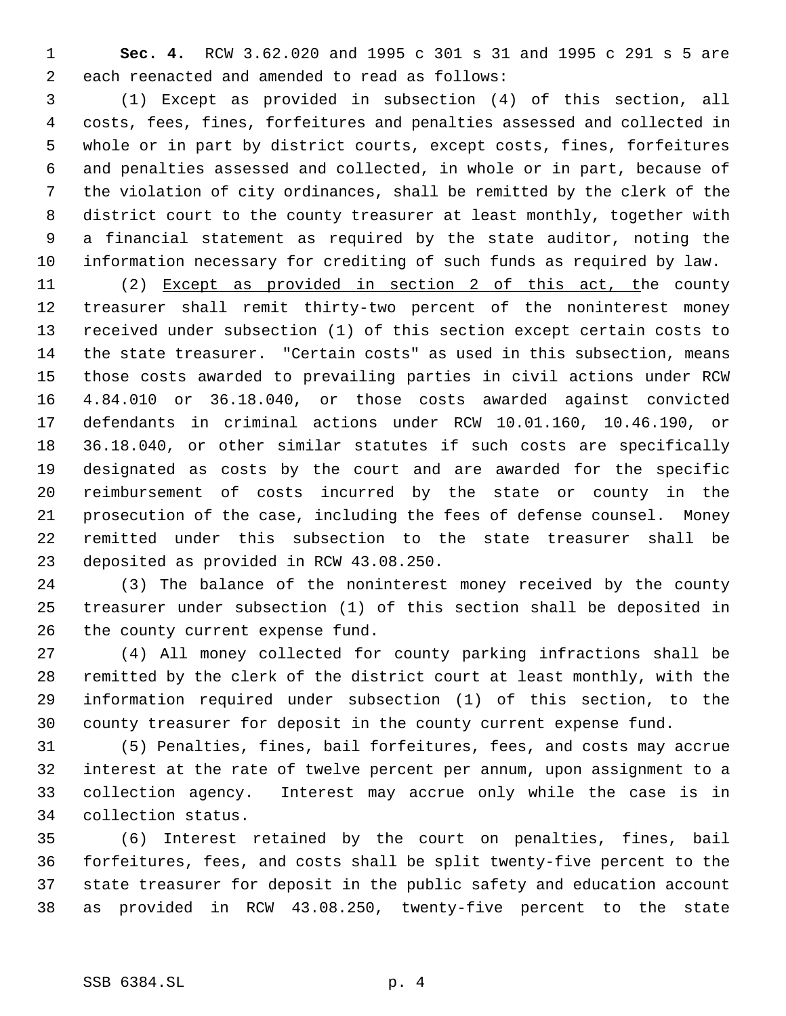**Sec. 4.** RCW 3.62.020 and 1995 c 301 s 31 and 1995 c 291 s 5 are each reenacted and amended to read as follows:

 (1) Except as provided in subsection (4) of this section, all costs, fees, fines, forfeitures and penalties assessed and collected in whole or in part by district courts, except costs, fines, forfeitures and penalties assessed and collected, in whole or in part, because of the violation of city ordinances, shall be remitted by the clerk of the district court to the county treasurer at least monthly, together with a financial statement as required by the state auditor, noting the information necessary for crediting of such funds as required by law.

 (2) Except as provided in section 2 of this act, the county treasurer shall remit thirty-two percent of the noninterest money received under subsection (1) of this section except certain costs to the state treasurer. "Certain costs" as used in this subsection, means those costs awarded to prevailing parties in civil actions under RCW 4.84.010 or 36.18.040, or those costs awarded against convicted defendants in criminal actions under RCW 10.01.160, 10.46.190, or 36.18.040, or other similar statutes if such costs are specifically designated as costs by the court and are awarded for the specific reimbursement of costs incurred by the state or county in the prosecution of the case, including the fees of defense counsel. Money remitted under this subsection to the state treasurer shall be deposited as provided in RCW 43.08.250.

 (3) The balance of the noninterest money received by the county treasurer under subsection (1) of this section shall be deposited in the county current expense fund.

 (4) All money collected for county parking infractions shall be remitted by the clerk of the district court at least monthly, with the information required under subsection (1) of this section, to the county treasurer for deposit in the county current expense fund.

 (5) Penalties, fines, bail forfeitures, fees, and costs may accrue interest at the rate of twelve percent per annum, upon assignment to a collection agency. Interest may accrue only while the case is in collection status.

 (6) Interest retained by the court on penalties, fines, bail forfeitures, fees, and costs shall be split twenty-five percent to the state treasurer for deposit in the public safety and education account as provided in RCW 43.08.250, twenty-five percent to the state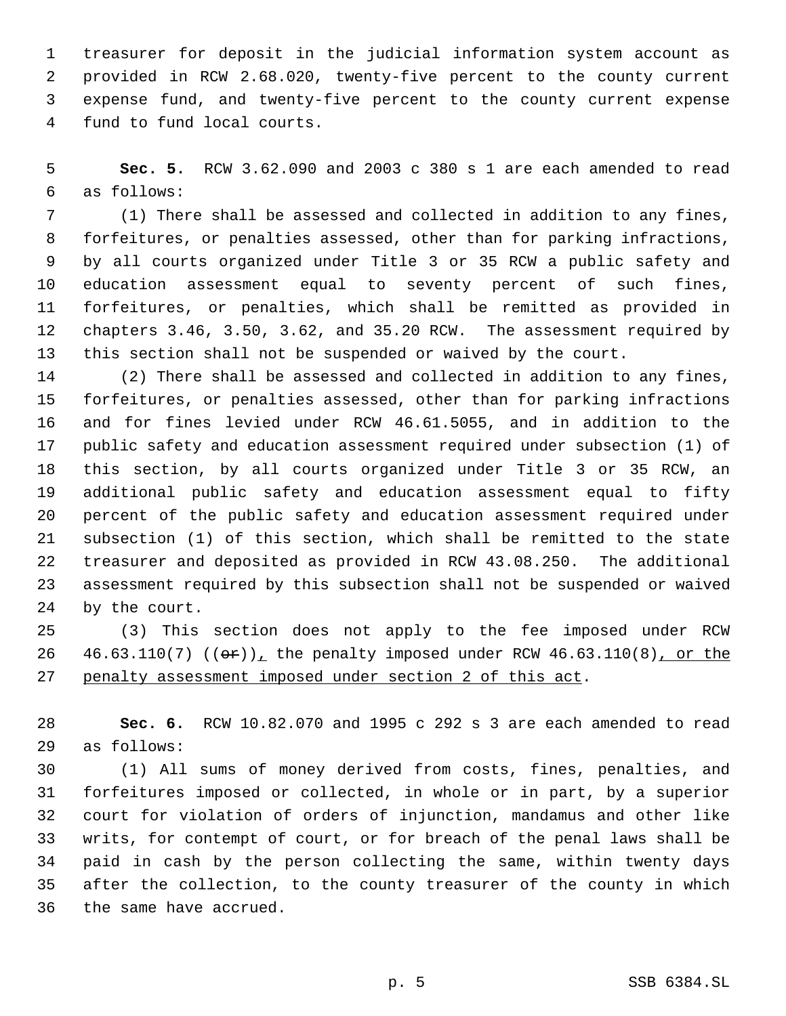treasurer for deposit in the judicial information system account as provided in RCW 2.68.020, twenty-five percent to the county current expense fund, and twenty-five percent to the county current expense fund to fund local courts.

 **Sec. 5.** RCW 3.62.090 and 2003 c 380 s 1 are each amended to read as follows:

 (1) There shall be assessed and collected in addition to any fines, forfeitures, or penalties assessed, other than for parking infractions, by all courts organized under Title 3 or 35 RCW a public safety and education assessment equal to seventy percent of such fines, forfeitures, or penalties, which shall be remitted as provided in chapters 3.46, 3.50, 3.62, and 35.20 RCW. The assessment required by this section shall not be suspended or waived by the court.

 (2) There shall be assessed and collected in addition to any fines, forfeitures, or penalties assessed, other than for parking infractions and for fines levied under RCW 46.61.5055, and in addition to the public safety and education assessment required under subsection (1) of this section, by all courts organized under Title 3 or 35 RCW, an additional public safety and education assessment equal to fifty percent of the public safety and education assessment required under subsection (1) of this section, which shall be remitted to the state treasurer and deposited as provided in RCW 43.08.250. The additional assessment required by this subsection shall not be suspended or waived by the court.

 (3) This section does not apply to the fee imposed under RCW 26 46.63.110(7)  $((\theta \cdot \hat{r}))_+$  the penalty imposed under RCW 46.63.110(8), or the penalty assessment imposed under section 2 of this act.

 **Sec. 6.** RCW 10.82.070 and 1995 c 292 s 3 are each amended to read as follows:

 (1) All sums of money derived from costs, fines, penalties, and forfeitures imposed or collected, in whole or in part, by a superior court for violation of orders of injunction, mandamus and other like writs, for contempt of court, or for breach of the penal laws shall be paid in cash by the person collecting the same, within twenty days after the collection, to the county treasurer of the county in which the same have accrued.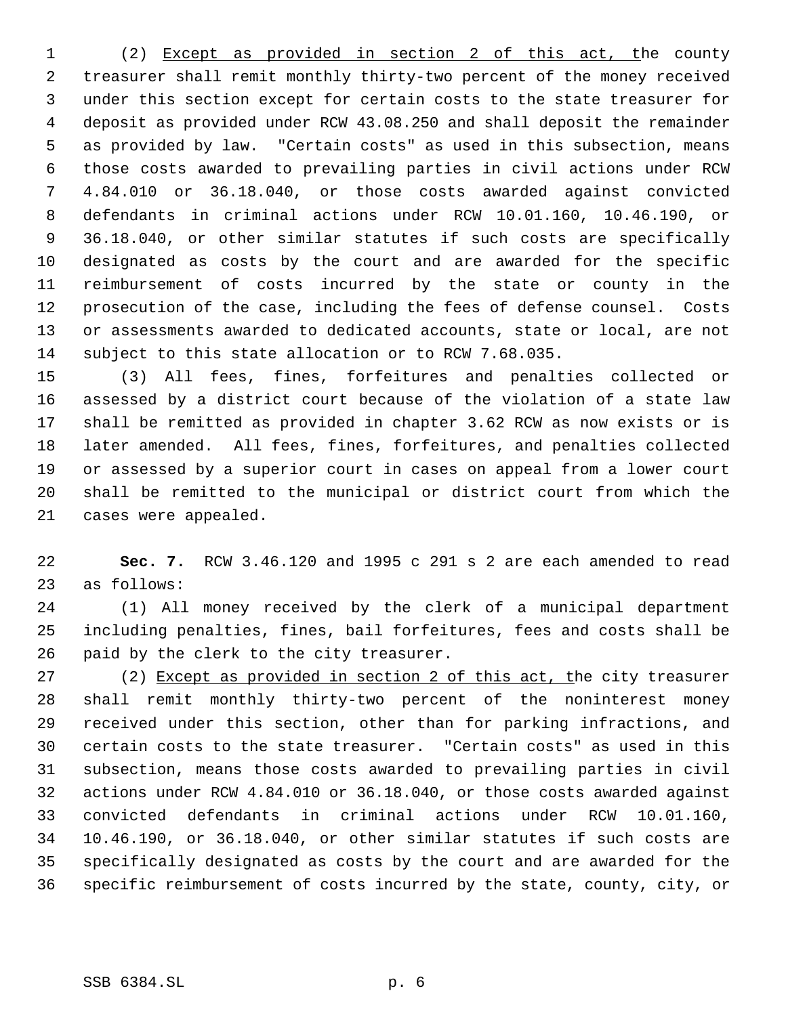(2) Except as provided in section 2 of this act, the county treasurer shall remit monthly thirty-two percent of the money received under this section except for certain costs to the state treasurer for deposit as provided under RCW 43.08.250 and shall deposit the remainder as provided by law. "Certain costs" as used in this subsection, means those costs awarded to prevailing parties in civil actions under RCW 4.84.010 or 36.18.040, or those costs awarded against convicted defendants in criminal actions under RCW 10.01.160, 10.46.190, or 36.18.040, or other similar statutes if such costs are specifically designated as costs by the court and are awarded for the specific reimbursement of costs incurred by the state or county in the prosecution of the case, including the fees of defense counsel. Costs or assessments awarded to dedicated accounts, state or local, are not subject to this state allocation or to RCW 7.68.035.

 (3) All fees, fines, forfeitures and penalties collected or assessed by a district court because of the violation of a state law shall be remitted as provided in chapter 3.62 RCW as now exists or is later amended. All fees, fines, forfeitures, and penalties collected or assessed by a superior court in cases on appeal from a lower court shall be remitted to the municipal or district court from which the cases were appealed.

 **Sec. 7.** RCW 3.46.120 and 1995 c 291 s 2 are each amended to read as follows:

 (1) All money received by the clerk of a municipal department including penalties, fines, bail forfeitures, fees and costs shall be paid by the clerk to the city treasurer.

 (2) Except as provided in section 2 of this act, the city treasurer shall remit monthly thirty-two percent of the noninterest money received under this section, other than for parking infractions, and certain costs to the state treasurer. "Certain costs" as used in this subsection, means those costs awarded to prevailing parties in civil actions under RCW 4.84.010 or 36.18.040, or those costs awarded against convicted defendants in criminal actions under RCW 10.01.160, 10.46.190, or 36.18.040, or other similar statutes if such costs are specifically designated as costs by the court and are awarded for the specific reimbursement of costs incurred by the state, county, city, or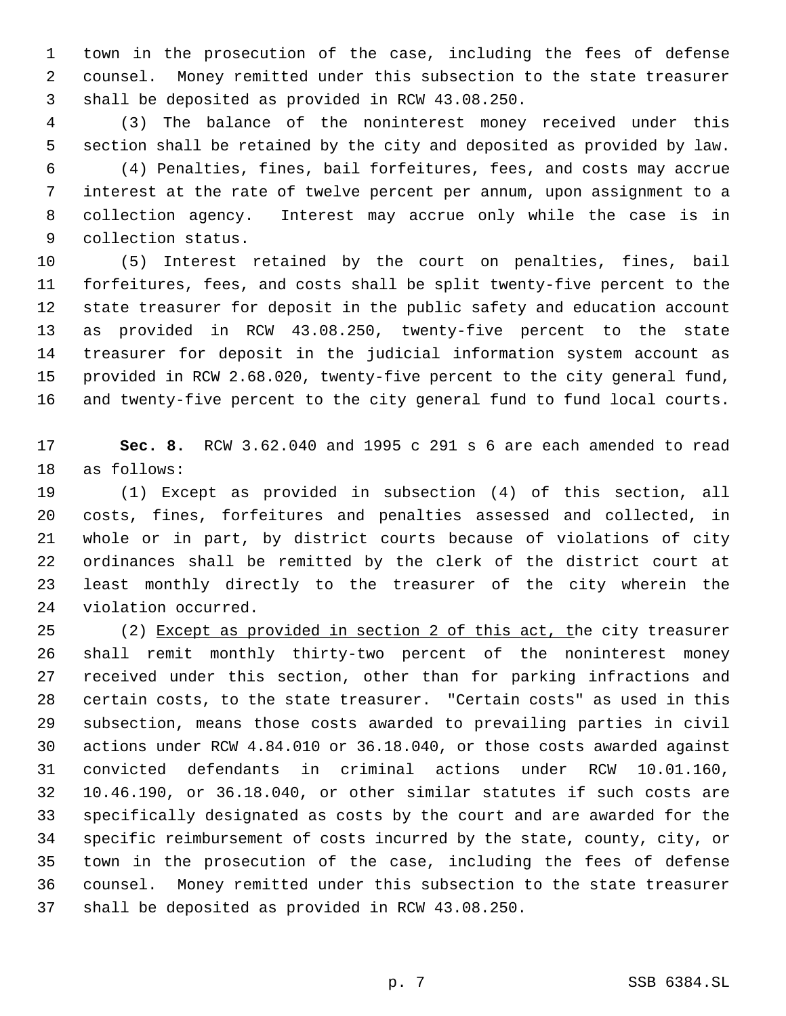town in the prosecution of the case, including the fees of defense counsel. Money remitted under this subsection to the state treasurer shall be deposited as provided in RCW 43.08.250.

 (3) The balance of the noninterest money received under this section shall be retained by the city and deposited as provided by law.

 (4) Penalties, fines, bail forfeitures, fees, and costs may accrue interest at the rate of twelve percent per annum, upon assignment to a collection agency. Interest may accrue only while the case is in collection status.

 (5) Interest retained by the court on penalties, fines, bail forfeitures, fees, and costs shall be split twenty-five percent to the state treasurer for deposit in the public safety and education account as provided in RCW 43.08.250, twenty-five percent to the state treasurer for deposit in the judicial information system account as provided in RCW 2.68.020, twenty-five percent to the city general fund, and twenty-five percent to the city general fund to fund local courts.

 **Sec. 8.** RCW 3.62.040 and 1995 c 291 s 6 are each amended to read as follows:

 (1) Except as provided in subsection (4) of this section, all costs, fines, forfeitures and penalties assessed and collected, in whole or in part, by district courts because of violations of city ordinances shall be remitted by the clerk of the district court at least monthly directly to the treasurer of the city wherein the violation occurred.

 (2) Except as provided in section 2 of this act, the city treasurer shall remit monthly thirty-two percent of the noninterest money received under this section, other than for parking infractions and certain costs, to the state treasurer. "Certain costs" as used in this subsection, means those costs awarded to prevailing parties in civil actions under RCW 4.84.010 or 36.18.040, or those costs awarded against convicted defendants in criminal actions under RCW 10.01.160, 10.46.190, or 36.18.040, or other similar statutes if such costs are specifically designated as costs by the court and are awarded for the specific reimbursement of costs incurred by the state, county, city, or town in the prosecution of the case, including the fees of defense counsel. Money remitted under this subsection to the state treasurer shall be deposited as provided in RCW 43.08.250.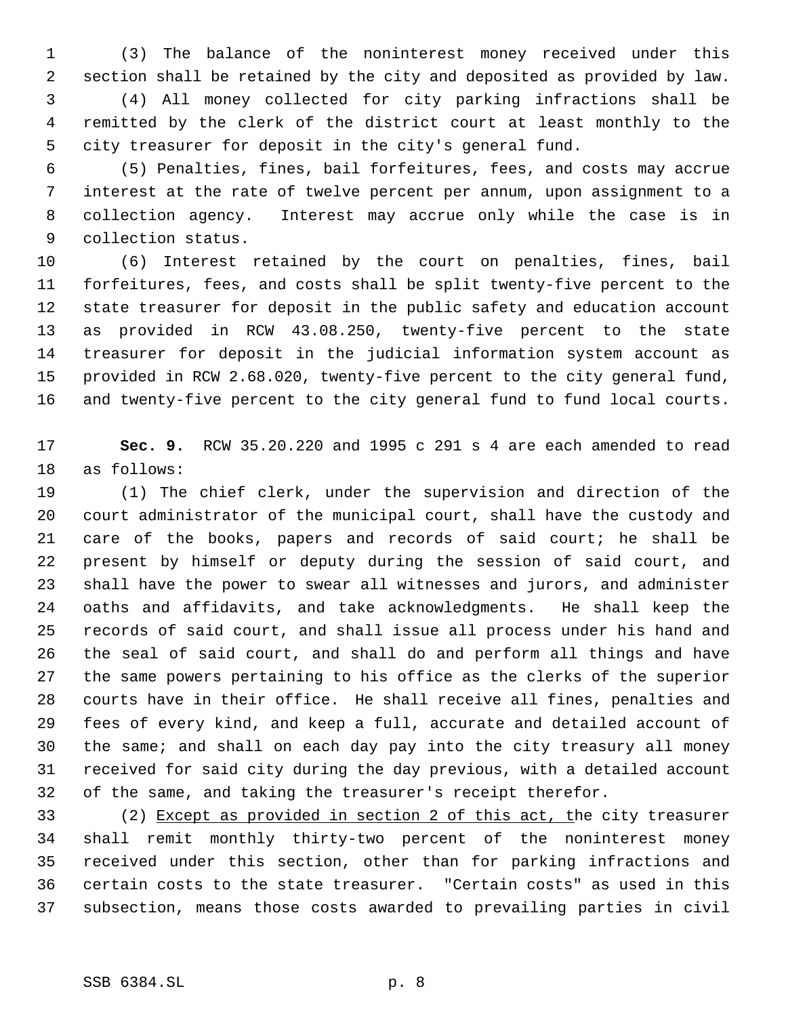(3) The balance of the noninterest money received under this section shall be retained by the city and deposited as provided by law. (4) All money collected for city parking infractions shall be remitted by the clerk of the district court at least monthly to the city treasurer for deposit in the city's general fund.

 (5) Penalties, fines, bail forfeitures, fees, and costs may accrue interest at the rate of twelve percent per annum, upon assignment to a collection agency. Interest may accrue only while the case is in collection status.

 (6) Interest retained by the court on penalties, fines, bail forfeitures, fees, and costs shall be split twenty-five percent to the state treasurer for deposit in the public safety and education account as provided in RCW 43.08.250, twenty-five percent to the state treasurer for deposit in the judicial information system account as provided in RCW 2.68.020, twenty-five percent to the city general fund, and twenty-five percent to the city general fund to fund local courts.

 **Sec. 9.** RCW 35.20.220 and 1995 c 291 s 4 are each amended to read as follows:

 (1) The chief clerk, under the supervision and direction of the court administrator of the municipal court, shall have the custody and care of the books, papers and records of said court; he shall be present by himself or deputy during the session of said court, and shall have the power to swear all witnesses and jurors, and administer oaths and affidavits, and take acknowledgments. He shall keep the records of said court, and shall issue all process under his hand and the seal of said court, and shall do and perform all things and have the same powers pertaining to his office as the clerks of the superior courts have in their office. He shall receive all fines, penalties and fees of every kind, and keep a full, accurate and detailed account of the same; and shall on each day pay into the city treasury all money received for said city during the day previous, with a detailed account of the same, and taking the treasurer's receipt therefor.

 (2) Except as provided in section 2 of this act, the city treasurer shall remit monthly thirty-two percent of the noninterest money received under this section, other than for parking infractions and certain costs to the state treasurer. "Certain costs" as used in this subsection, means those costs awarded to prevailing parties in civil